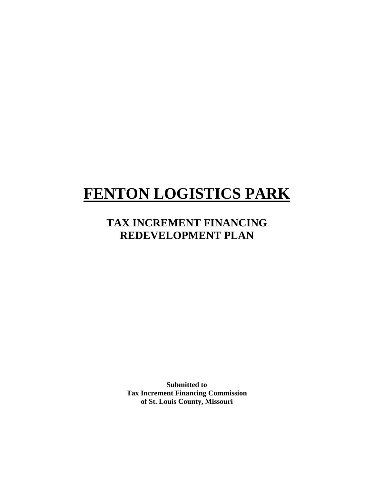# **FENTON LOGISTICS PARK**

# **TAX INCREMENT FINANCING REDEVELOPMENT PLAN**

**Submitted to Tax Increment Financing Commission of St. Louis County, Missouri**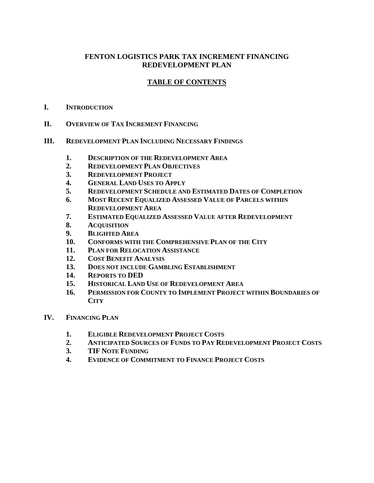# **FENTON LOGISTICS PARK TAX INCREMENT FINANCING REDEVELOPMENT PLAN**

# **TABLE OF CONTENTS**

- **I. INTRODUCTION**
- **II. OVERVIEW OF TAX INCREMENT FINANCING**
- **III. REDEVELOPMENT PLAN INCLUDING NECESSARY FINDINGS**
	- **1. DESCRIPTION OF THE REDEVELOPMENT AREA**
	- **2. REDEVELOPMENT PLAN OBJECTIVES**
	- **3. REDEVELOPMENT PROJECT**
	- **4. GENERAL LAND USES TO APPLY**
	- **5. REDEVELOPMENT SCHEDULE AND ESTIMATED DATES OF COMPLETION**
	- **6. MOST RECENT EQUALIZED ASSESSED VALUE OF PARCELS WITHIN REDEVELOPMENT AREA**
	- **7. ESTIMATED EQUALIZED ASSESSED VALUE AFTER REDEVELOPMENT**
	- **8. ACQUISITION**
	- **9. BLIGHTED AREA**
	- **10. CONFORMS WITH THE COMPREHENSIVE PLAN OF THE CITY**
	- **11. PLAN FOR RELOCATION ASSISTANCE**
	- **12. COST BENEFIT ANALYSIS**
	- **13. DOES NOT INCLUDE GAMBLING ESTABLISHMENT**
	- **14. REPORTS TO DED**
	- **15. HISTORICAL LAND USE OF REDEVELOPMENT AREA**
	- **16. PERMISSION FOR COUNTY TO IMPLEMENT PROJECT WITHIN BOUNDARIES OF CITY**
- **IV. FINANCING PLAN**
	- **1. ELIGIBLE REDEVELOPMENT PROJECT COSTS**
	- **2. ANTICIPATED SOURCES OF FUNDS TO PAY REDEVELOPMENT PROJECT COSTS**
	- **3. TIF NOTE FUNDING**
	- **4. EVIDENCE OF COMMITMENT TO FINANCE PROJECT COSTS**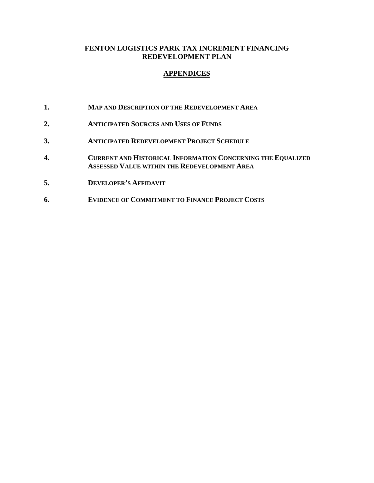### **FENTON LOGISTICS PARK TAX INCREMENT FINANCING REDEVELOPMENT PLAN**

### **APPENDICES**

- **1. MAP AND DESCRIPTION OF THE REDEVELOPMENT AREA**
- **2. ANTICIPATED SOURCES AND USES OF FUNDS**
- **3. ANTICIPATED REDEVELOPMENT PROJECT SCHEDULE**
- **4. CURRENT AND HISTORICAL INFORMATION CONCERNING THE EQUALIZED ASSESSED VALUE WITHIN THE REDEVELOPMENT AREA**
- **5. DEVELOPER'S AFFIDAVIT**
- **6. EVIDENCE OF COMMITMENT TO FINANCE PROJECT COSTS**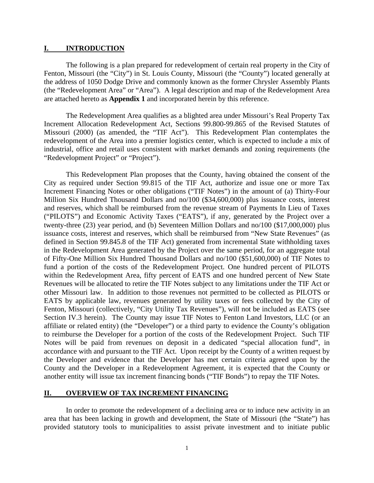#### **I. INTRODUCTION**

 The following is a plan prepared for redevelopment of certain real property in the City of Fenton, Missouri (the "City") in St. Louis County, Missouri (the "County") located generally at the address of 1050 Dodge Drive and commonly known as the former Chrysler Assembly Plants (the "Redevelopment Area" or "Area"). A legal description and map of the Redevelopment Area are attached hereto as **Appendix 1** and incorporated herein by this reference.

 The Redevelopment Area qualifies as a blighted area under Missouri's Real Property Tax Increment Allocation Redevelopment Act, Sections 99.800-99.865 of the Revised Statutes of Missouri (2000) (as amended, the "TIF Act"). This Redevelopment Plan contemplates the redevelopment of the Area into a premier logistics center, which is expected to include a mix of industrial, office and retail uses consistent with market demands and zoning requirements (the "Redevelopment Project" or "Project").

 This Redevelopment Plan proposes that the County, having obtained the consent of the City as required under Section 99.815 of the TIF Act, authorize and issue one or more Tax Increment Financing Notes or other obligations ("TIF Notes") in the amount of (a) Thirty-Four Million Six Hundred Thousand Dollars and no/100 (\$34,600,000) plus issuance costs, interest and reserves, which shall be reimbursed from the revenue stream of Payments In Lieu of Taxes ("PILOTS") and Economic Activity Taxes ("EATS"), if any, generated by the Project over a twenty-three (23) year period, and (b) Seventeen Million Dollars and no/100 (\$17,000,000) plus issuance costs, interest and reserves, which shall be reimbursed from "New State Revenues" (as defined in Section 99.845.8 of the TIF Act) generated from incremental State withholding taxes in the Redevelopment Area generated by the Project over the same period, for an aggregate total of Fifty-One Million Six Hundred Thousand Dollars and no/100 (\$51,600,000) of TIF Notes to fund a portion of the costs of the Redevelopment Project. One hundred percent of PILOTS within the Redevelopment Area, fifty percent of EATS and one hundred percent of New State Revenues will be allocated to retire the TIF Notes subject to any limitations under the TIF Act or other Missouri law. In addition to those revenues not permitted to be collected as PILOTS or EATS by applicable law, revenues generated by utility taxes or fees collected by the City of Fenton, Missouri (collectively, "City Utility Tax Revenues"), will not be included as EATS (see Section IV.3 herein). The County may issue TIF Notes to Fenton Land Investors, LLC (or an affiliate or related entity) (the "Developer") or a third party to evidence the County's obligation to reimburse the Developer for a portion of the costs of the Redevelopment Project. Such TIF Notes will be paid from revenues on deposit in a dedicated "special allocation fund", in accordance with and pursuant to the TIF Act. Upon receipt by the County of a written request by the Developer and evidence that the Developer has met certain criteria agreed upon by the County and the Developer in a Redevelopment Agreement, it is expected that the County or another entity will issue tax increment financing bonds ("TIF Bonds") to repay the TIF Notes.

#### **II. OVERVIEW OF TAX INCREMENT FINANCING**

 In order to promote the redevelopment of a declining area or to induce new activity in an area that has been lacking in growth and development, the State of Missouri (the "State") has provided statutory tools to municipalities to assist private investment and to initiate public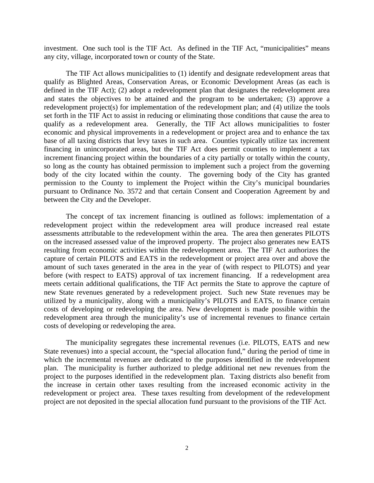investment. One such tool is the TIF Act. As defined in the TIF Act, "municipalities" means any city, village, incorporated town or county of the State.

 The TIF Act allows municipalities to (1) identify and designate redevelopment areas that qualify as Blighted Areas, Conservation Areas, or Economic Development Areas (as each is defined in the TIF Act); (2) adopt a redevelopment plan that designates the redevelopment area and states the objectives to be attained and the program to be undertaken; (3) approve a redevelopment project(s) for implementation of the redevelopment plan; and (4) utilize the tools set forth in the TIF Act to assist in reducing or eliminating those conditions that cause the area to qualify as a redevelopment area. Generally, the TIF Act allows municipalities to foster economic and physical improvements in a redevelopment or project area and to enhance the tax base of all taxing districts that levy taxes in such area. Counties typically utilize tax increment financing in unincorporated areas, but the TIF Act does permit counties to implement a tax increment financing project within the boundaries of a city partially or totally within the county, so long as the county has obtained permission to implement such a project from the governing body of the city located within the county. The governing body of the City has granted permission to the County to implement the Project within the City's municipal boundaries pursuant to Ordinance No. 3572 and that certain Consent and Cooperation Agreement by and between the City and the Developer.

 The concept of tax increment financing is outlined as follows: implementation of a redevelopment project within the redevelopment area will produce increased real estate assessments attributable to the redevelopment within the area. The area then generates PILOTS on the increased assessed value of the improved property. The project also generates new EATS resulting from economic activities within the redevelopment area. The TIF Act authorizes the capture of certain PILOTS and EATS in the redevelopment or project area over and above the amount of such taxes generated in the area in the year of (with respect to PILOTS) and year before (with respect to EATS) approval of tax increment financing. If a redevelopment area meets certain additional qualifications, the TIF Act permits the State to approve the capture of new State revenues generated by a redevelopment project. Such new State revenues may be utilized by a municipality, along with a municipality's PILOTS and EATS, to finance certain costs of developing or redeveloping the area. New development is made possible within the redevelopment area through the municipality's use of incremental revenues to finance certain costs of developing or redeveloping the area.

 The municipality segregates these incremental revenues (i.e. PILOTS, EATS and new State revenues) into a special account, the "special allocation fund," during the period of time in which the incremental revenues are dedicated to the purposes identified in the redevelopment plan. The municipality is further authorized to pledge additional net new revenues from the project to the purposes identified in the redevelopment plan. Taxing districts also benefit from the increase in certain other taxes resulting from the increased economic activity in the redevelopment or project area. These taxes resulting from development of the redevelopment project are not deposited in the special allocation fund pursuant to the provisions of the TIF Act.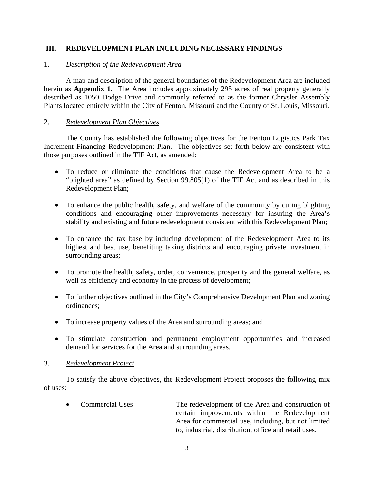#### **III. REDEVELOPMENT PLAN INCLUDING NECESSARY FINDINGS**

#### 1. *Description of the Redevelopment Area*

 A map and description of the general boundaries of the Redevelopment Area are included herein as **Appendix 1**. The Area includes approximately 295 acres of real property generally described as 1050 Dodge Drive and commonly referred to as the former Chrysler Assembly Plants located entirely within the City of Fenton, Missouri and the County of St. Louis, Missouri.

#### 2. *Redevelopment Plan Objectives*

 The County has established the following objectives for the Fenton Logistics Park Tax Increment Financing Redevelopment Plan. The objectives set forth below are consistent with those purposes outlined in the TIF Act, as amended:

- To reduce or eliminate the conditions that cause the Redevelopment Area to be a "blighted area" as defined by Section 99.805(1) of the TIF Act and as described in this Redevelopment Plan;
- To enhance the public health, safety, and welfare of the community by curing blighting conditions and encouraging other improvements necessary for insuring the Area's stability and existing and future redevelopment consistent with this Redevelopment Plan;
- To enhance the tax base by inducing development of the Redevelopment Area to its highest and best use, benefiting taxing districts and encouraging private investment in surrounding areas;
- To promote the health, safety, order, convenience, prosperity and the general welfare, as well as efficiency and economy in the process of development;
- To further objectives outlined in the City's Comprehensive Development Plan and zoning ordinances;
- To increase property values of the Area and surrounding areas; and
- To stimulate construction and permanent employment opportunities and increased demand for services for the Area and surrounding areas.

#### 3. *Redevelopment Project*

 To satisfy the above objectives, the Redevelopment Project proposes the following mix of uses:

• Commercial Uses The redevelopment of the Area and construction of certain improvements within the Redevelopment Area for commercial use, including, but not limited to, industrial, distribution, office and retail uses.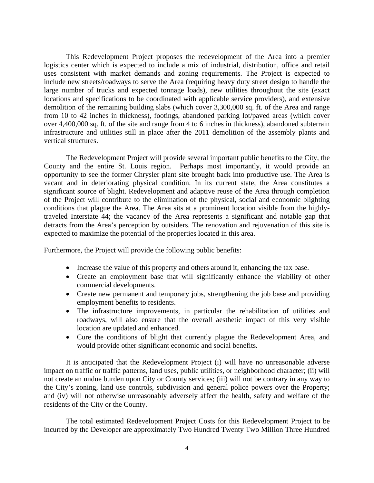This Redevelopment Project proposes the redevelopment of the Area into a premier logistics center which is expected to include a mix of industrial, distribution, office and retail uses consistent with market demands and zoning requirements. The Project is expected to include new streets/roadways to serve the Area (requiring heavy duty street design to handle the large number of trucks and expected tonnage loads), new utilities throughout the site (exact locations and specifications to be coordinated with applicable service providers), and extensive demolition of the remaining building slabs (which cover 3,300,000 sq. ft. of the Area and range from 10 to 42 inches in thickness), footings, abandoned parking lot/paved areas (which cover over 4,400,000 sq. ft. of the site and range from 4 to 6 inches in thickness), abandoned subterrain infrastructure and utilities still in place after the 2011 demolition of the assembly plants and vertical structures.

 The Redevelopment Project will provide several important public benefits to the City, the County and the entire St. Louis region. Perhaps most importantly, it would provide an opportunity to see the former Chrysler plant site brought back into productive use. The Area is vacant and in deteriorating physical condition. In its current state, the Area constitutes a significant source of blight. Redevelopment and adaptive reuse of the Area through completion of the Project will contribute to the elimination of the physical, social and economic blighting conditions that plague the Area. The Area sits at a prominent location visible from the highlytraveled Interstate 44; the vacancy of the Area represents a significant and notable gap that detracts from the Area's perception by outsiders. The renovation and rejuvenation of this site is expected to maximize the potential of the properties located in this area.

Furthermore, the Project will provide the following public benefits:

- Increase the value of this property and others around it, enhancing the tax base.
- Create an employment base that will significantly enhance the viability of other commercial developments.
- Create new permanent and temporary jobs, strengthening the job base and providing employment benefits to residents.
- The infrastructure improvements, in particular the rehabilitation of utilities and roadways, will also ensure that the overall aesthetic impact of this very visible location are updated and enhanced.
- Cure the conditions of blight that currently plague the Redevelopment Area, and would provide other significant economic and social benefits.

 It is anticipated that the Redevelopment Project (i) will have no unreasonable adverse impact on traffic or traffic patterns, land uses, public utilities, or neighborhood character; (ii) will not create an undue burden upon City or County services; (iii) will not be contrary in any way to the City's zoning, land use controls, subdivision and general police powers over the Property; and (iv) will not otherwise unreasonably adversely affect the health, safety and welfare of the residents of the City or the County.

 The total estimated Redevelopment Project Costs for this Redevelopment Project to be incurred by the Developer are approximately Two Hundred Twenty Two Million Three Hundred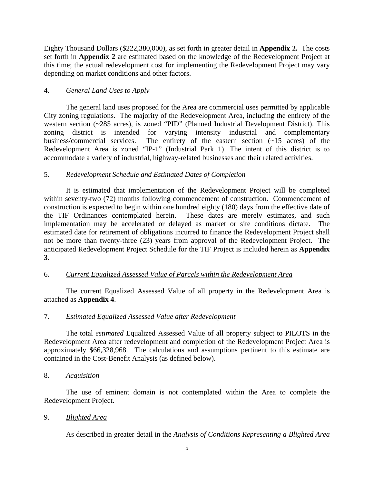Eighty Thousand Dollars (\$222,380,000), as set forth in greater detail in **Appendix 2.** The costs set forth in **Appendix 2** are estimated based on the knowledge of the Redevelopment Project at this time; the actual redevelopment cost for implementing the Redevelopment Project may vary depending on market conditions and other factors.

# 4. *General Land Uses to Apply*

 The general land uses proposed for the Area are commercial uses permitted by applicable City zoning regulations. The majority of the Redevelopment Area, including the entirety of the western section (~285 acres), is zoned "PID" (Planned Industrial Development District). This zoning district is intended for varying intensity industrial and complementary business/commercial services. The entirety of the eastern section (~15 acres) of the Redevelopment Area is zoned "IP-1" (Industrial Park 1). The intent of this district is to accommodate a variety of industrial, highway-related businesses and their related activities.

# 5. *Redevelopment Schedule and Estimated Dates of Completion*

 It is estimated that implementation of the Redevelopment Project will be completed within seventy-two (72) months following commencement of construction. Commencement of construction is expected to begin within one hundred eighty (180) days from the effective date of the TIF Ordinances contemplated herein. These dates are merely estimates, and such These dates are merely estimates, and such implementation may be accelerated or delayed as market or site conditions dictate. The estimated date for retirement of obligations incurred to finance the Redevelopment Project shall not be more than twenty-three (23) years from approval of the Redevelopment Project. The anticipated Redevelopment Project Schedule for the TIF Project is included herein as **Appendix 3**.

# 6. *Current Equalized Assessed Value of Parcels within the Redevelopment Area*

 The current Equalized Assessed Value of all property in the Redevelopment Area is attached as **Appendix 4**.

# 7. *Estimated Equalized Assessed Value after Redevelopment*

 The total *estimated* Equalized Assessed Value of all property subject to PILOTS in the Redevelopment Area after redevelopment and completion of the Redevelopment Project Area is approximately \$66,328,968. The calculations and assumptions pertinent to this estimate are contained in the Cost-Benefit Analysis (as defined below).

# 8. *Acquisition*

 The use of eminent domain is not contemplated within the Area to complete the Redevelopment Project.

# 9. *Blighted Area*

As described in greater detail in the *Analysis of Conditions Representing a Blighted Area*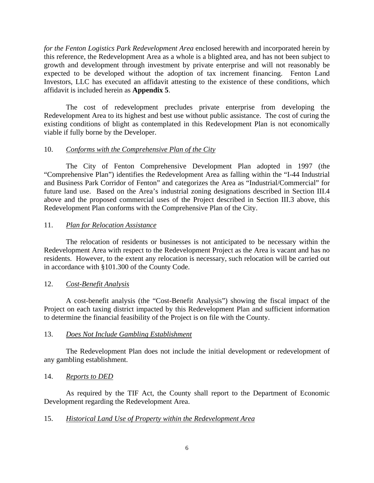*for the Fenton Logistics Park Redevelopment Area* enclosed herewith and incorporated herein by this reference, the Redevelopment Area as a whole is a blighted area, and has not been subject to growth and development through investment by private enterprise and will not reasonably be expected to be developed without the adoption of tax increment financing. Fenton Land Investors, LLC has executed an affidavit attesting to the existence of these conditions, which affidavit is included herein as **Appendix 5**.

 The cost of redevelopment precludes private enterprise from developing the Redevelopment Area to its highest and best use without public assistance. The cost of curing the existing conditions of blight as contemplated in this Redevelopment Plan is not economically viable if fully borne by the Developer.

#### 10. *Conforms with the Comprehensive Plan of the City*

 The City of Fenton Comprehensive Development Plan adopted in 1997 (the "Comprehensive Plan") identifies the Redevelopment Area as falling within the "I-44 Industrial and Business Park Corridor of Fenton" and categorizes the Area as "Industrial/Commercial" for future land use. Based on the Area's industrial zoning designations described in Section III.4 above and the proposed commercial uses of the Project described in Section III.3 above, this Redevelopment Plan conforms with the Comprehensive Plan of the City.

#### 11. *Plan for Relocation Assistance*

 The relocation of residents or businesses is not anticipated to be necessary within the Redevelopment Area with respect to the Redevelopment Project as the Area is vacant and has no residents. However, to the extent any relocation is necessary, such relocation will be carried out in accordance with §101.300 of the County Code.

# 12. *Cost-Benefit Analysis*

 A cost-benefit analysis (the "Cost-Benefit Analysis") showing the fiscal impact of the Project on each taxing district impacted by this Redevelopment Plan and sufficient information to determine the financial feasibility of the Project is on file with the County.

#### 13. *Does Not Include Gambling Establishment*

 The Redevelopment Plan does not include the initial development or redevelopment of any gambling establishment.

#### 14. *Reports to DED*

 As required by the TIF Act, the County shall report to the Department of Economic Development regarding the Redevelopment Area.

#### 15. *Historical Land Use of Property within the Redevelopment Area*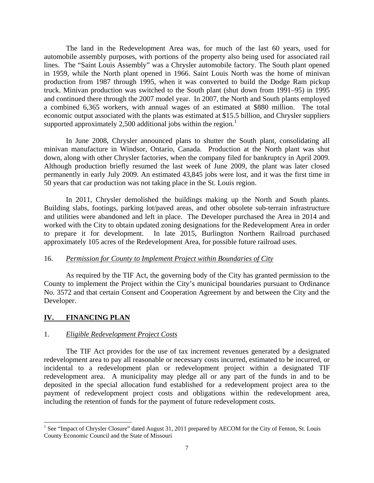The land in the Redevelopment Area was, for much of the last 60 years, used for automobile assembly purposes, with portions of the property also being used for associated rail lines. The "Saint Louis Assembly" was a Chrysler automobile factory. The South plant opened in 1959, while the North plant opened in 1966. Saint Louis North was the home of minivan production from 1987 through 1995, when it was converted to build the Dodge Ram pickup truck. Minivan production was switched to the South plant (shut down from 1991–95) in 1995 and continued there through the 2007 model year. In 2007, the North and South plants employed a combined 6,365 workers, with annual wages of an estimated at \$880 million. The total economic output associated with the plants was estimated at \$15.5 billion, and Chrysler suppliers supported approximately 2,500 additional jobs within the region.<sup>1</sup>

 In June 2008, Chrysler announced plans to shutter the South plant, consolidating all minivan manufacture in Windsor, Ontario, Canada. Production at the North plant was shut down, along with other Chrysler factories, when the company filed for bankruptcy in April 2009. Although production briefly resumed the last week of June 2009, the plant was later closed permanently in early July 2009. An estimated 43,845 jobs were lost, and it was the first time in 50 years that car production was not taking place in the St. Louis region.

 In 2011, Chrysler demolished the buildings making up the North and South plants. Building slabs, footings, parking lot/paved areas, and other obsolete sub-terrain infrastructure and utilities were abandoned and left in place. The Developer purchased the Area in 2014 and worked with the City to obtain updated zoning designations for the Redevelopment Area in order to prepare it for development. In late 2015, Burlington Northern Railroad purchased approximately 105 acres of the Redevelopment Area, for possible future railroad uses.

#### 16. *Permission for County to Implement Project within Boundaries of City*

 As required by the TIF Act, the governing body of the City has granted permission to the County to implement the Project within the City's municipal boundaries pursuant to Ordinance No. 3572 and that certain Consent and Cooperation Agreement by and between the City and the Developer.

# **IV. FINANCING PLAN**

 $\overline{a}$ 

#### 1. *Eligible Redevelopment Project Costs*

 The TIF Act provides for the use of tax increment revenues generated by a designated redevelopment area to pay all reasonable or necessary costs incurred, estimated to be incurred, or incidental to a redevelopment plan or redevelopment project within a designated TIF redevelopment area. A municipality may pledge all or any part of the funds in and to be deposited in the special allocation fund established for a redevelopment project area to the payment of redevelopment project costs and obligations within the redevelopment area, including the retention of funds for the payment of future redevelopment costs.

<sup>&</sup>lt;sup>1</sup> See "Impact of Chrysler Closure" dated August 31, 2011 prepared by AECOM for the City of Fenton, St. Louis County Economic Council and the State of Missouri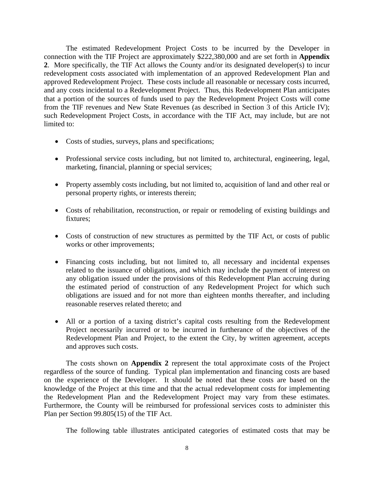The estimated Redevelopment Project Costs to be incurred by the Developer in connection with the TIF Project are approximately \$222,380,000 and are set forth in **Appendix 2**. More specifically, the TIF Act allows the County and/or its designated developer(s) to incur redevelopment costs associated with implementation of an approved Redevelopment Plan and approved Redevelopment Project. These costs include all reasonable or necessary costs incurred, and any costs incidental to a Redevelopment Project. Thus, this Redevelopment Plan anticipates that a portion of the sources of funds used to pay the Redevelopment Project Costs will come from the TIF revenues and New State Revenues (as described in Section 3 of this Article IV); such Redevelopment Project Costs, in accordance with the TIF Act, may include, but are not limited to:

- Costs of studies, surveys, plans and specifications;
- Professional service costs including, but not limited to, architectural, engineering, legal, marketing, financial, planning or special services;
- Property assembly costs including, but not limited to, acquisition of land and other real or personal property rights, or interests therein;
- Costs of rehabilitation, reconstruction, or repair or remodeling of existing buildings and fixtures;
- Costs of construction of new structures as permitted by the TIF Act, or costs of public works or other improvements;
- Financing costs including, but not limited to, all necessary and incidental expenses related to the issuance of obligations, and which may include the payment of interest on any obligation issued under the provisions of this Redevelopment Plan accruing during the estimated period of construction of any Redevelopment Project for which such obligations are issued and for not more than eighteen months thereafter, and including reasonable reserves related thereto; and
- All or a portion of a taxing district's capital costs resulting from the Redevelopment Project necessarily incurred or to be incurred in furtherance of the objectives of the Redevelopment Plan and Project, to the extent the City, by written agreement, accepts and approves such costs.

 The costs shown on **Appendix 2** represent the total approximate costs of the Project regardless of the source of funding. Typical plan implementation and financing costs are based on the experience of the Developer. It should be noted that these costs are based on the knowledge of the Project at this time and that the actual redevelopment costs for implementing the Redevelopment Plan and the Redevelopment Project may vary from these estimates. Furthermore, the County will be reimbursed for professional services costs to administer this Plan per Section 99.805(15) of the TIF Act.

The following table illustrates anticipated categories of estimated costs that may be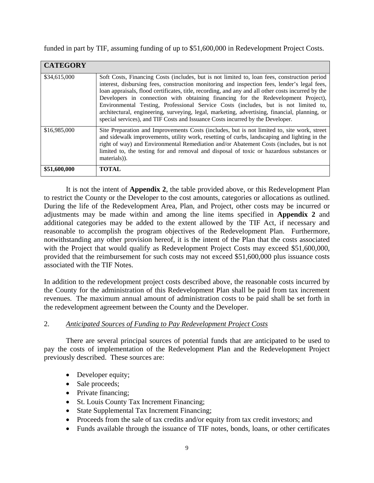funded in part by TIF, assuming funding of up to \$51,600,000 in Redevelopment Project Costs.

| <b>CATEGORY</b> |                                                                                                                                                                                                                                                                                                                                                                                                                                                                                                                                                                                                                                                                   |
|-----------------|-------------------------------------------------------------------------------------------------------------------------------------------------------------------------------------------------------------------------------------------------------------------------------------------------------------------------------------------------------------------------------------------------------------------------------------------------------------------------------------------------------------------------------------------------------------------------------------------------------------------------------------------------------------------|
| \$34,615,000    | Soft Costs, Financing Costs (includes, but is not limited to, loan fees, construction period<br>interest, disbursing fees, construction monitoring and inspection fees, lender's legal fees,<br>loan appraisals, flood certificates, title, recording, and any and all other costs incurred by the<br>Developers in connection with obtaining financing for the Redevelopment Project),<br>Environmental Testing, Professional Service Costs (includes, but is not limited to,<br>architectural, engineering, surveying, legal, marketing, advertising, financial, planning, or<br>special services), and TIF Costs and Issuance Costs incurred by the Developer. |
| \$16,985,000    | Site Preparation and Improvements Costs (includes, but is not limited to, site work, street<br>and sidewalk improvements, utility work, resetting of curbs, landscaping and lighting in the<br>right of way) and Environmental Remediation and/or Abatement Costs (includes, but is not<br>limited to, the testing for and removal and disposal of toxic or hazardous substances or<br>materials).                                                                                                                                                                                                                                                                |
| \$51,600,000    | <b>TOTAL</b>                                                                                                                                                                                                                                                                                                                                                                                                                                                                                                                                                                                                                                                      |

 It is not the intent of **Appendix 2**, the table provided above, or this Redevelopment Plan to restrict the County or the Developer to the cost amounts, categories or allocations as outlined. During the life of the Redevelopment Area, Plan, and Project, other costs may be incurred or adjustments may be made within and among the line items specified in **Appendix 2** and additional categories may be added to the extent allowed by the TIF Act, if necessary and reasonable to accomplish the program objectives of the Redevelopment Plan. Furthermore, notwithstanding any other provision hereof, it is the intent of the Plan that the costs associated with the Project that would qualify as Redevelopment Project Costs may exceed \$51,600,000, provided that the reimbursement for such costs may not exceed \$51,600,000 plus issuance costs associated with the TIF Notes.

In addition to the redevelopment project costs described above, the reasonable costs incurred by the County for the administration of this Redevelopment Plan shall be paid from tax increment revenues. The maximum annual amount of administration costs to be paid shall be set forth in the redevelopment agreement between the County and the Developer.

# 2. *Anticipated Sources of Funding to Pay Redevelopment Project Costs*

 There are several principal sources of potential funds that are anticipated to be used to pay the costs of implementation of the Redevelopment Plan and the Redevelopment Project previously described. These sources are:

- Developer equity;
- Sale proceeds;
- Private financing;
- St. Louis County Tax Increment Financing;
- State Supplemental Tax Increment Financing;
- Proceeds from the sale of tax credits and/or equity from tax credit investors; and
- Funds available through the issuance of TIF notes, bonds, loans, or other certificates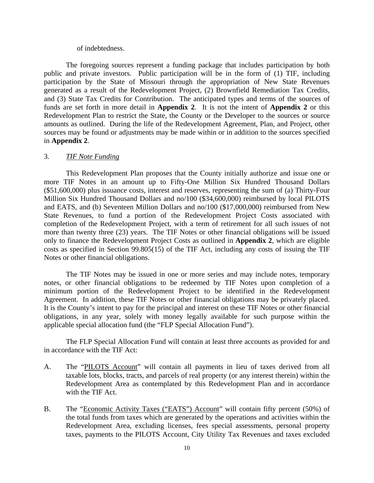#### of indebtedness.

 The foregoing sources represent a funding package that includes participation by both public and private investors. Public participation will be in the form of (1) TIF, including participation by the State of Missouri through the appropriation of New State Revenues generated as a result of the Redevelopment Project, (2) Brownfield Remediation Tax Credits, and (3) State Tax Credits for Contribution. The anticipated types and terms of the sources of funds are set forth in more detail in **Appendix 2**. It is not the intent of **Appendix 2** or this Redevelopment Plan to restrict the State, the County or the Developer to the sources or source amounts as outlined. During the life of the Redevelopment Agreement, Plan, and Project, other sources may be found or adjustments may be made within or in addition to the sources specified in **Appendix 2**.

#### 3. *TIF Note Funding*

 This Redevelopment Plan proposes that the County initially authorize and issue one or more TIF Notes in an amount up to Fifty-One Million Six Hundred Thousand Dollars (\$51,600,000) plus issuance costs, interest and reserves, representing the sum of (a) Thirty-Four Million Six Hundred Thousand Dollars and no/100 (\$34,600,000) reimbursed by local PILOTS and EATS, and (b) Seventeen Million Dollars and no/100 (\$17,000,000) reimbursed from New State Revenues, to fund a portion of the Redevelopment Project Costs associated with completion of the Redevelopment Project, with a term of retirement for all such issues of not more than twenty three (23) years. The TIF Notes or other financial obligations will be issued only to finance the Redevelopment Project Costs as outlined in **Appendix 2**, which are eligible costs as specified in Section 99.805(15) of the TIF Act, including any costs of issuing the TIF Notes or other financial obligations.

 The TIF Notes may be issued in one or more series and may include notes, temporary notes, or other financial obligations to be redeemed by TIF Notes upon completion of a minimum portion of the Redevelopment Project to be identified in the Redevelopment Agreement. In addition, these TIF Notes or other financial obligations may be privately placed. It is the County's intent to pay for the principal and interest on these TIF Notes or other financial obligations, in any year, solely with money legally available for such purpose within the applicable special allocation fund (the "FLP Special Allocation Fund").

 The FLP Special Allocation Fund will contain at least three accounts as provided for and in accordance with the TIF Act:

- A. The "PILOTS Account" will contain all payments in lieu of taxes derived from all taxable lots, blocks, tracts, and parcels of real property (or any interest therein) within the Redevelopment Area as contemplated by this Redevelopment Plan and in accordance with the TIF Act.
- B. The "Economic Activity Taxes ("EATS") Account" will contain fifty percent (50%) of the total funds from taxes which are generated by the operations and activities within the Redevelopment Area, excluding licenses, fees special assessments, personal property taxes, payments to the PILOTS Account, City Utility Tax Revenues and taxes excluded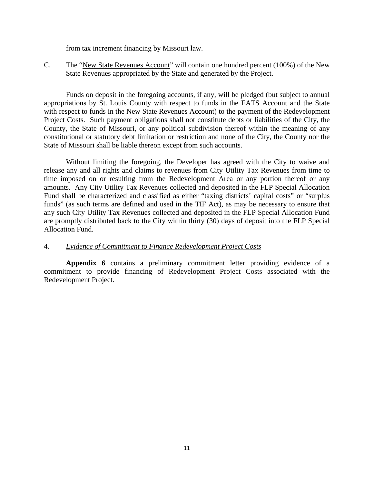from tax increment financing by Missouri law.

C. The "New State Revenues Account" will contain one hundred percent (100%) of the New State Revenues appropriated by the State and generated by the Project.

 Funds on deposit in the foregoing accounts, if any, will be pledged (but subject to annual appropriations by St. Louis County with respect to funds in the EATS Account and the State with respect to funds in the New State Revenues Account) to the payment of the Redevelopment Project Costs. Such payment obligations shall not constitute debts or liabilities of the City, the County, the State of Missouri, or any political subdivision thereof within the meaning of any constitutional or statutory debt limitation or restriction and none of the City, the County nor the State of Missouri shall be liable thereon except from such accounts.

 Without limiting the foregoing, the Developer has agreed with the City to waive and release any and all rights and claims to revenues from City Utility Tax Revenues from time to time imposed on or resulting from the Redevelopment Area or any portion thereof or any amounts. Any City Utility Tax Revenues collected and deposited in the FLP Special Allocation Fund shall be characterized and classified as either "taxing districts' capital costs" or "surplus funds" (as such terms are defined and used in the TIF Act), as may be necessary to ensure that any such City Utility Tax Revenues collected and deposited in the FLP Special Allocation Fund are promptly distributed back to the City within thirty (30) days of deposit into the FLP Special Allocation Fund.

#### 4. *Evidence of Commitment to Finance Redevelopment Project Costs*

 **Appendix 6** contains a preliminary commitment letter providing evidence of a commitment to provide financing of Redevelopment Project Costs associated with the Redevelopment Project.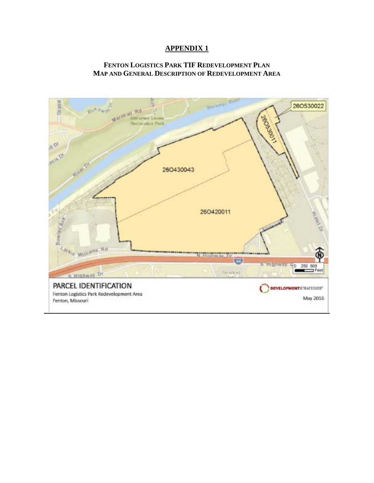#### **FENTON LOGISTICS PARK TIF REDEVELOPMENT PLAN MAP AND GENERAL DESCRIPTION OF REDEVELOPMENT AREA**

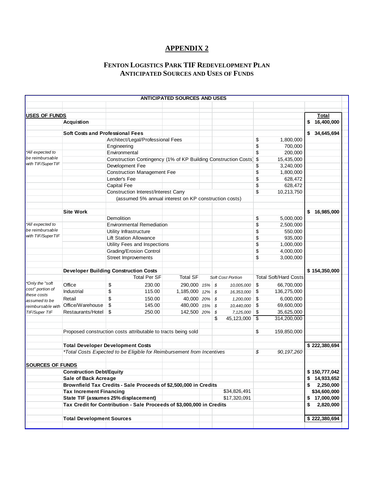# **FENTON LOGISTICS PARK TIF REDEVELOPMENT PLAN ANTICIPATED SOURCES AND USES OF FUNDS**

|                                    |                                         |                                                                        | <b>ANTICIPATED SOURCES AND USES</b> |      |                         |            |                              |                  |  |
|------------------------------------|-----------------------------------------|------------------------------------------------------------------------|-------------------------------------|------|-------------------------|------------|------------------------------|------------------|--|
|                                    |                                         |                                                                        |                                     |      |                         |            |                              |                  |  |
| <b>USES OF FUNDS</b>               |                                         |                                                                        |                                     |      |                         |            |                              | Total            |  |
|                                    | <b>Acquistion</b>                       |                                                                        |                                     |      |                         |            |                              | \$<br>16,400,000 |  |
|                                    | <b>Soft Costs and Professional Fees</b> |                                                                        |                                     |      |                         |            |                              | \$<br>34,645,694 |  |
|                                    |                                         | Architect/Legal/Professional Fees                                      |                                     |      |                         | \$         | 1,800,000                    |                  |  |
|                                    |                                         | Engineering                                                            |                                     |      |                         | \$         | 700,000                      |                  |  |
| *All expected to                   |                                         | Environmental                                                          |                                     |      |                         | \$         | 200,000                      |                  |  |
| be reimbursable                    |                                         | Construction Contingency (1% of KP Building Construction Costs)        |                                     |      |                         | \$         | 15,435,000                   |                  |  |
| with TIF/SuperTIF                  |                                         | Development Fee                                                        |                                     |      |                         | \$         | 3,240,000                    |                  |  |
|                                    |                                         | <b>Construction Management Fee</b>                                     |                                     |      |                         | \$         | 1,800,000                    |                  |  |
|                                    |                                         | Lender's Fee                                                           |                                     |      |                         | \$         | 628,472                      |                  |  |
|                                    |                                         | Capital Fee                                                            |                                     |      |                         | \$         | 628,472                      |                  |  |
|                                    |                                         | <b>Construction Interest/Interest Carry</b>                            |                                     |      |                         | \$         | 10,213,750                   |                  |  |
|                                    |                                         | (assumed 5% annual interest on KP construction costs)                  |                                     |      |                         |            |                              |                  |  |
|                                    |                                         |                                                                        |                                     |      |                         |            |                              |                  |  |
|                                    | <b>Site Work</b>                        |                                                                        |                                     |      |                         |            |                              | 16,985,000       |  |
|                                    |                                         | Demolition                                                             |                                     |      |                         | \$         | 5,000,000                    |                  |  |
| *All expected to                   |                                         | <b>Environmental Remediation</b>                                       |                                     |      |                         | \$         | 2,500,000                    |                  |  |
| be reimbursable                    |                                         | Utility Infrastructure                                                 |                                     |      |                         | \$         | 550,000                      |                  |  |
| with TIF/SuperTIF                  |                                         | <b>Lift Station Allowance</b>                                          |                                     |      |                         | \$         | 935,000                      |                  |  |
|                                    |                                         | Utility Fees and Inspections                                           |                                     |      |                         | \$         | 1,000,000                    |                  |  |
|                                    |                                         | <b>Grading/Erosion Control</b>                                         |                                     |      |                         | \$         | 4,000,000                    |                  |  |
|                                    |                                         | <b>Street Improvements</b>                                             |                                     |      |                         | \$         | 3,000,000                    |                  |  |
|                                    |                                         |                                                                        |                                     |      |                         |            |                              |                  |  |
|                                    |                                         | <b>Developer Building Construction Costs</b>                           |                                     |      |                         |            |                              | \$154,350,000    |  |
|                                    |                                         | <b>Total Per SF</b>                                                    | <b>Total SF</b>                     |      | Soft Cost Portion       |            | <b>Total Soft/Hard Costs</b> |                  |  |
| Only the "soft"                    | Office                                  | \$<br>230.00                                                           | 290,000 15% \$                      |      | 10,005,000              | \$         | 66,700,000                   |                  |  |
| cost" portion of                   | Industrial                              | \$<br>115.00                                                           | 1,185,000 12% \$                    |      | 16,353,000              | $\sqrt{3}$ | 136,275,000                  |                  |  |
| these costs                        | Retail                                  | \$<br>150.00                                                           | 40,000 20% \$                       |      | 1,200,000               | \$         | 6,000,000                    |                  |  |
| assumed to be                      | Office/Warehouse                        | \$<br>145.00                                                           | 480,000 15% \$                      |      |                         | \$         | 69,600,000                   |                  |  |
| reimbursable with<br>TIF/Super TIF | Restaurants/Hotel                       | $\sqrt[6]{\frac{1}{2}}$<br>250.00                                      | 142,500 20%                         | - \$ | 10,440,000<br>7,125,000 | \$         | 35,625,000                   |                  |  |
|                                    |                                         |                                                                        |                                     | \$   | 45,123,000              | \$         | 314,200,000                  |                  |  |
|                                    |                                         |                                                                        |                                     |      |                         |            |                              |                  |  |
|                                    |                                         | Proposed construction costs attributable to tracts being sold          |                                     |      |                         | \$         | 159,850,000                  |                  |  |
|                                    |                                         |                                                                        |                                     |      |                         |            |                              |                  |  |
|                                    |                                         | <b>Total Developer Development Costs</b>                               |                                     |      |                         |            |                              | \$222,380,694    |  |
|                                    |                                         | *Total Costs Expected to be Eligible for Reimbursement from Incentives |                                     |      |                         | \$         | 90, 197, 260                 |                  |  |
|                                    |                                         |                                                                        |                                     |      |                         |            |                              |                  |  |
| <b>SOURCES OF FUNDS</b>            |                                         |                                                                        |                                     |      |                         |            |                              |                  |  |
|                                    | <b>Construction Debt/Equity</b>         |                                                                        |                                     |      |                         |            |                              | \$150,777,042    |  |
|                                    | Sale of Back Acreage                    |                                                                        |                                     |      |                         |            |                              | \$14,933,652     |  |
|                                    |                                         | Brownfield Tax Credits - Sale Proceeds of \$2,500,000 in Credits       |                                     |      |                         |            |                              | \$<br>2,250,000  |  |
|                                    | <b>Tax Increment Financing</b>          |                                                                        |                                     |      | \$34,826,491            |            |                              | \$34,600,000     |  |
|                                    |                                         | State TIF (assumes 25% displacement)                                   |                                     |      | \$17,320,091            |            |                              | \$17,000,000     |  |
|                                    |                                         | Tax Credit for Contribution - Sale Proceeds of \$3,000,000 in Credits  |                                     |      |                         |            |                              | \$<br>2,820,000  |  |
|                                    |                                         |                                                                        |                                     |      |                         |            |                              |                  |  |
|                                    | <b>Total Development Sources</b>        |                                                                        |                                     |      |                         |            |                              | \$222,380,694    |  |
|                                    |                                         |                                                                        |                                     |      |                         |            |                              |                  |  |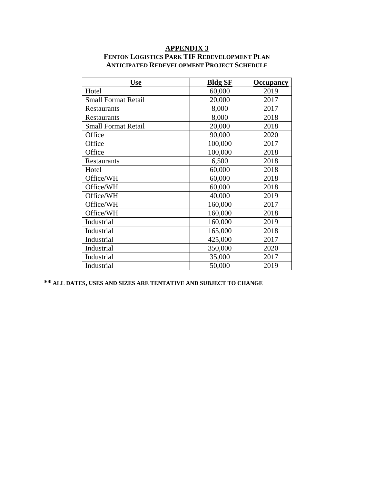| <b>Use</b>                 | <b>Bldg SF</b> | <b>Occupancy</b> |  |  |
|----------------------------|----------------|------------------|--|--|
| Hotel                      | 60,000         | 2019             |  |  |
| <b>Small Format Retail</b> | 20,000         | 2017             |  |  |
| <b>Restaurants</b>         | 8,000          | 2017             |  |  |
| <b>Restaurants</b>         | 8,000          | 2018             |  |  |
| <b>Small Format Retail</b> | 20,000         | 2018             |  |  |
| Office                     | 90,000         | 2020             |  |  |
| Office                     | 100,000        | 2017             |  |  |
| Office                     | 100,000        | 2018             |  |  |
| <b>Restaurants</b>         | 6,500          | 2018             |  |  |
| Hotel                      | 60,000         | 2018             |  |  |
| Office/WH                  | 60,000         | 2018             |  |  |
| Office/WH                  | 60,000         | 2018             |  |  |
| Office/WH                  | 40,000         | 2019             |  |  |
| Office/WH                  | 160,000        | 2017             |  |  |
| Office/WH                  | 160,000        | 2018             |  |  |
| Industrial                 | 160,000        | 2019             |  |  |
| Industrial                 | 165,000        | 2018             |  |  |
| Industrial                 | 425,000        | 2017             |  |  |
| Industrial                 | 350,000        | 2020             |  |  |
| Industrial                 | 35,000         | 2017             |  |  |
| Industrial                 | 50,000         | 2019             |  |  |

#### **APPENDIX 3 FENTON LOGISTICS PARK TIF REDEVELOPMENT PLAN ANTICIPATED REDEVELOPMENT PROJECT SCHEDULE**

**\*\* ALL DATES, USES AND SIZES ARE TENTATIVE AND SUBJECT TO CHANGE**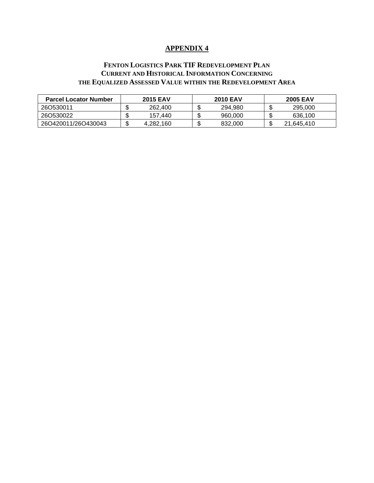#### **FENTON LOGISTICS PARK TIF REDEVELOPMENT PLAN CURRENT AND HISTORICAL INFORMATION CONCERNING THE EQUALIZED ASSESSED VALUE WITHIN THE REDEVELOPMENT AREA**

| <b>Parcel Locator Number</b> |         | <b>2015 EAV</b> |         | <b>2010 EAV</b> |         | <b>2005 EAV</b> |
|------------------------------|---------|-----------------|---------|-----------------|---------|-----------------|
| 260530011                    | ۰D      | 262,400         | æ<br>۰D | 294.980         | σ<br>۰D | 295,000         |
| 260530022                    | ۰D      | 157.440         | ۰D      | 960,000         | ۰D      | 636.100         |
| 26O420011/26O430043          | ጥ<br>۰D | 4,282,160       | æ<br>۰D | 832.000         | ጥ<br>Œ  | 21,645,410      |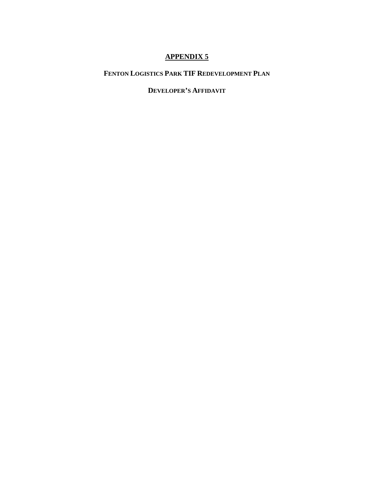# **FENTON LOGISTICS PARK TIF REDEVELOPMENT PLAN**

# **DEVELOPER'S AFFIDAVIT**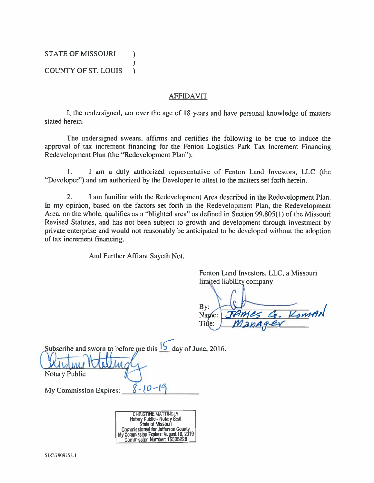**STATE OF MISSOURI**  $\lambda$  $\lambda$ **COUNTY OF ST. LOUIS**  $\lambda$ 

#### **AFFIDAVIT**

I, the undersigned, am over the age of 18 years and have personal knowledge of matters stated herein.

The undersigned swears, affirms and certifies the following to be true to induce the approval of tax increment financing for the Fenton Logistics Park Tax Increment Financing Redevelopment Plan (the "Redevelopment Plan").

1. I am a duly authorized representative of Fenton Land Investors, LLC (the "Developer") and am authorized by the Developer to attest to the matters set forth herein.

 $2.$ I am familiar with the Redevelopment Area described in the Redevelopment Plan. In my opinion, based on the factors set forth in the Redevelopment Plan, the Redevelopment Area, on the whole, qualifies as a "blighted area" as defined in Section 99.805(1) of the Missouri Revised Statutes, and has not been subject to growth and development through investment by private enterprise and would not reasonably be anticipated to be developed without the adoption of tax increment financing.

And Further Affiant Sayeth Not.

Fenton Land Investors, LLC, a Missouri limited liability company

 $Bv:$ JAMES G. KOMAN Name: Title:

Subscribe and sworn to before me this  $\frac{15}{2}$  day of June, 2016.

**Notary Public** 

My Commission Expires:

| <b>CHRISTINE MATTINGLY</b>               |
|------------------------------------------|
| Notary Public - Notary Seal              |
| <b>State of Missouri</b>                 |
| <b>Commissioned for Jefferson County</b> |
| My Commission Expires: August 10, 2019   |
| Commission Number: 15535228              |

 $8 - 10 - 19$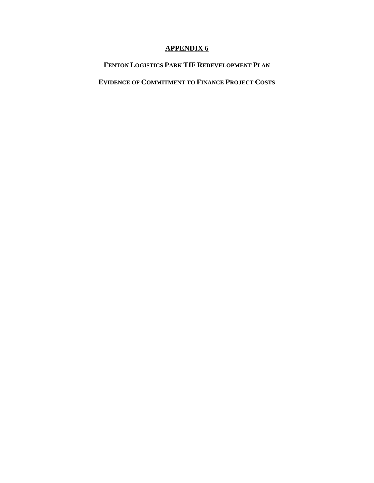# **FENTON LOGISTICS PARK TIF REDEVELOPMENT PLAN**

# **EVIDENCE OF COMMITMENT TO FINANCE PROJECT COSTS**